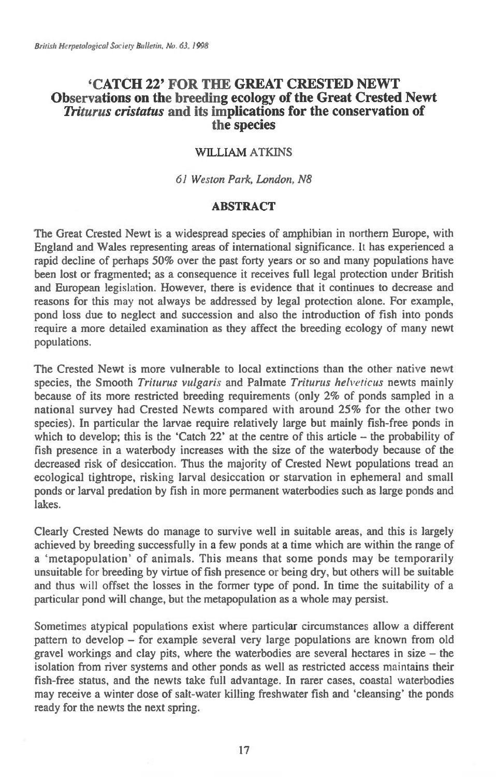# **`CATCH 22' FOR THE GREAT CRESTED NEWT Observations on the breeding ecology of the Great Crested Newt**  *Triturus cristatus* **and its implications for the conservation of the species**

### WILLIAM ATKINS

*61 Weston Park, London, N8* 

### **ABSTRACT**

The Great Crested Newt is a widespread species of amphibian in northern Europe, with England and Wales representing areas of international significance. It has experienced a rapid decline of perhaps 50% over the past forty years or so and many populations have been lost or fragmented; as a consequence it receives full legal protection under British and European legislation. However, there is evidence that it continues to decrease and reasons for this may not always be addressed by legal protection alone. For example, pond loss due to neglect and succession and also the introduction of fish into ponds require a more detailed examination as they affect the breeding ecology of many newt populations.

The Crested Newt is more vulnerable to local extinctions than the other native newt species, the Smooth *Triturus vulgaris* and Palmate *Triturus helveticus* newts mainly because of its more restricted breeding requirements (only 2% of ponds sampled in a national survey had Crested Newts compared with around 25% for the other two species). In particular the larvae require relatively large but mainly fish-free ponds in which to develop; this is the 'Catch 22' at the centre of this article – the probability of fish presence in a waterbody increases with the size of the waterbody because of the decreased risk of desiccation. Thus the majority of Crested Newt populations tread an ecological tightrope, risking larval desiccation or starvation in ephemeral and small ponds or larval predation by fish in more permanent waterbodies such as large ponds and lakes.

Clearly Crested Newts do manage to survive well in suitable areas, and this is largely achieved by breeding successfully in a few ponds at a time which are within the range of a `metapopulation' of animals. This means that some ponds may be temporarily unsuitable for breeding by virtue of fish presence or being dry, but others will be suitable and thus will offset the losses in the former type of pond. In time the suitability of a particular pond will change, but the metapopulation as a whole may persist.

Sometimes atypical populations exist where particular circumstances allow a different pattern to develop — for example several very large populations are known from old gravel workings and clay pits, where the waterbodies are several hectares in size — the isolation from river systems and other ponds as well as restricted access maintains their fish-free status, and the newts take full advantage. In rarer cases, coastal waterbodies may receive a winter dose of salt-water killing freshwater fish and 'cleansing' the ponds ready for the newts the next spring.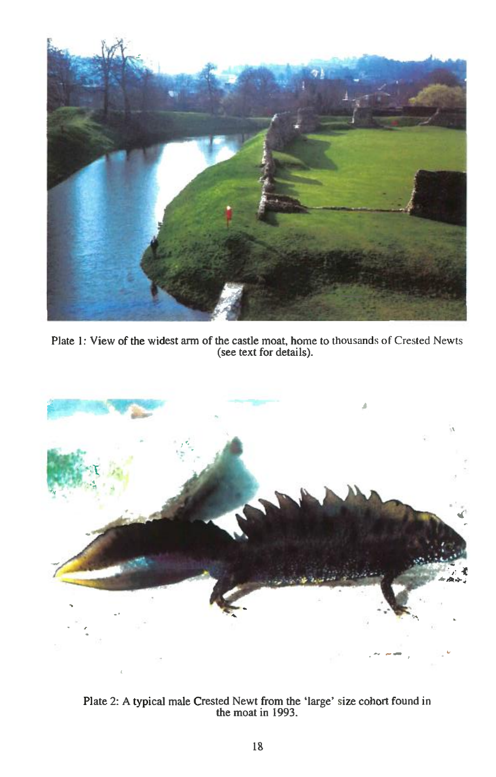

Plate 1: View of the widest arm of the castle moat, home to thousands of Crested Newts (see text for details).



Plate 2: A typical male Crested Newt from the 'large' size cohort found in the moat in 1993.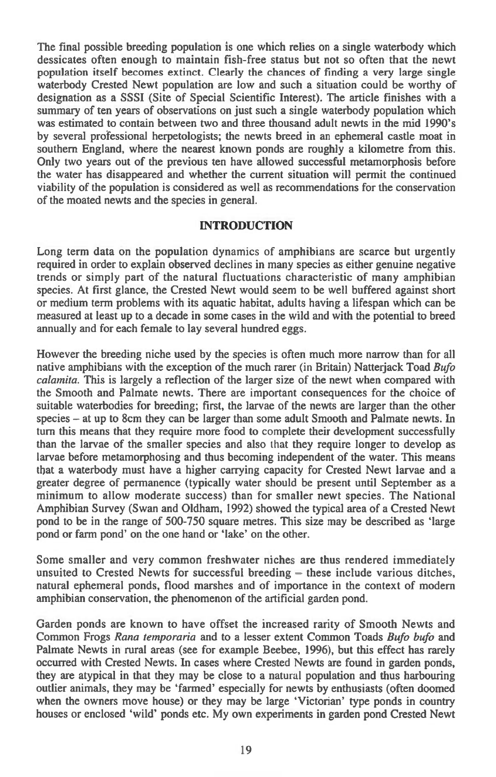**The final possible breeding population is one which relies on a single waterbody which dessicates often enough to maintain fish-free status but not so often that the newt population itself becomes extinct. Clearly the chances of finding a very large single waterbody Crested Newt population are low and such a situation could be worthy of designation as a SSSI (Site of Special Scientific Interest). The article finishes with a summary of ten years of observations on just such a single waterbody population which was estimated to contain between two and three thousand adult newts in the mid 1990's by several professional herpetologists; the newts breed in an ephemeral castle moat in southern England, where the nearest known ponds are roughly a kilometre from this. Only two years out of the previous ten have allowed successful metamorphosis before the water has disappeared and whether the current situation will permit the continued viability of the population is considered as well as recommendations for the conservation of the moated newts and the species in general.** 

### **INTRODUCTION**

**Long term data on the population dynamics of amphibians are scarce but urgently required in order to explain observed declines in many species as either genuine negative trends or simply part of the natural fluctuations characteristic of many amphibian species. At first glance, the Crested Newt would seem to be well buffered against short or medium term problems with its aquatic habitat, adults having a lifespan which can be measured at least up to a decade in some cases in the wild and with the potential to breed annually and for each female to lay several hundred eggs.** 

**However the breeding niche used by the species is often much more narrow than for all native amphibians with the exception of the much rarer** (in **Britain) Natterjack Toad** *Bufo calamita.* **This is largely a reflection of the larger size of the newt when compared with the Smooth and Palmate newts. There are important consequences for the choice of suitable waterbodies for breeding; first, the larvae of the newts are larger than the other species — at up to 8cm they can be larger than some adult Smooth and Palmate newts. In turn this means that they require more food to complete their development successfully than the larvae of the smaller species and also** *that* **they require longer to develop as larvae before metamorphosing and thus becoming independent of the water. This means that a waterbody must have a higher carrying capacity for Crested Newt larvae and a greater degree of permanence (typically water should be present until September as a minimum to allow moderate success) than for smaller newt species. The National Amphibian Survey (Swan and Oldham, 1992) showed the typical area of a Crested Newt pond to be in the range of 500-750 square metres. This size may be described as 'large pond or farm pond' on the one hand or 'lake' on the other.** 

**Some smaller and very common freshwater niches are thus rendered immediately unsuited to Crested Newts for successful breeding - these include various ditches, natural ephemeral ponds, flood marshes and of importance in the context of modern amphibian conservation, the phenomenon of the artificial garden pond.** 

**Garden ponds are known to have offset the increased rarity of Smooth Newts and Common Frogs** *Rana temporaria* **and to a lesser extent Common Toads** *Bufo bufo* **and Palmate Newts in rural areas (see for example Beebee, 1996), but this effect has rarely occurred with Crested Newts. In cases where Crested Newts are found in garden ponds, they are atypical in that they may be close to a natural population and thus harbouring outlier animals, they may** *be* **'fanned' especially for newts by enthusiasts (often doomed when the owners move house) or they may be large 'Victorian' type ponds in country houses or enclosed 'wild' ponds etc. My own experiments in garden pond Crested Newt**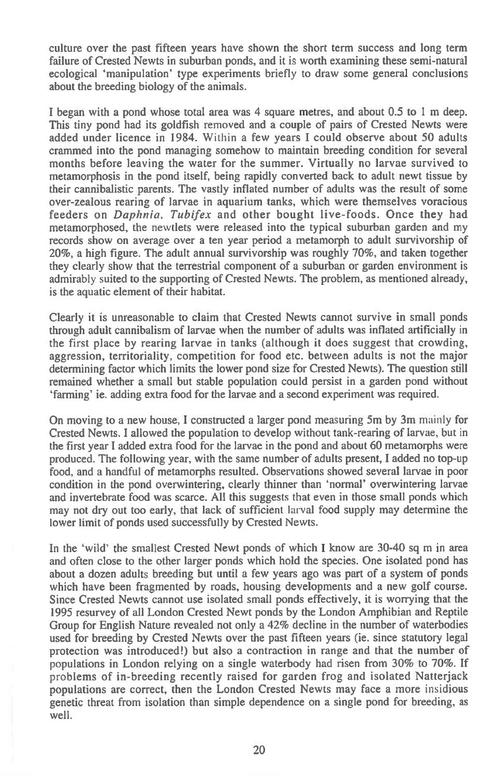culture over the past fifteen years have shown the short term success and long term failure of Crested Newts in suburban ponds, and it is worth examining these semi-natural ecological 'manipulation' type experiments briefly to draw some general conclusions about the breeding biology of the animals.

I began with a pond whose total area was 4 square metres, and about 0.5 to 1 m deep. This tiny pond had its goldfish removed and a couple of pairs of Crested Newts were added under licence in 1984. Within a few years I could observe about 50 adults crammed into the pond managing somehow to maintain breeding condition for several months before leaving the water for the summer. Virtually no larvae survived to metamorphosis in the pond itself, being rapidly converted back to adult newt tissue by their cannibalistic parents. The vastly inflated number of adults was the result of some over-zealous rearing of larvae in aquarium tanks, which were themselves voracious feeders on *Daphnia. Tubifex* and other bought live-foods. Once they had metamorphosed, the newtlets were released into the typical suburban garden and my records show on average over a ten year period a metamorph to adult survivorship of 20%, a high figure. The adult annual survivorship was roughly 70%, and taken together they clearly show that the terrestrial component of a suburban or garden environment is admirably suited to the supporting of Crested Newts. The problem, as mentioned already, is the aquatic element of their habitat.

Clearly it is unreasonable to claim that Crested Newts cannot survive in small ponds through adult cannibalism of larvae when the number of adults was inflated artificially in the first place by rearing larvae in tanks (although it does suggest that crowding, aggression, territoriality, competition for food etc. between adults is not the major determining factor which limits the lower pond size for Crested Newts). The question still remained whether a small but stable population could persist in a garden pond without `farming' ie. adding extra food for the larvae and a second experiment was required.

On moving to a new house, I constructed a larger pond measuring 5m by 3m mainly for Crested Newts. I allowed the population to develop without tank-rearing of larvae, but in the first year I added extra food for the larvae in the pond and about 60 metamorphs were produced. The following year, with the same number of adults present, I added no top-up food, and a handful of metamorphs resulted. Observations showed several larvae in poor condition in the pond overwintering, clearly thinner than 'normal' overwintering larvae and invertebrate food was scarce. All this suggests that even in those small ponds which may not dry out too early, that lack of sufficient larval food supply may determine the lower limit of ponds used successfully by Crested Newts.

In the 'wild' the smallest Crested Newt ponds of which I know are 30-40 sq m in area and often close to the other larger ponds which hold the species. One isolated pond has about a dozen adults breeding but until a few years ago was part of a system of ponds which have been fragmented by roads, housing developments and a new golf course. Since Crested Newts cannot use isolated small ponds effectively, it is worrying that the 1995 resurvey of all London Crested Newt ponds by the London Amphibian and Reptile Group for English Nature revealed not only a 42% decline in the number of waterbodies used for breeding by Crested Newts over the past fifteen years (ie. since statutory legal protection was introduced!) but also a contraction in range and that the number of populations in London relying on a single waterbody had risen from 30% to 70%. If problems of in-breeding recently raised for garden frog and isolated Natterjack populations are correct, then the London Crested Newts may face a more insidious genetic threat from isolation than simple dependence on a single pond for breeding, as well.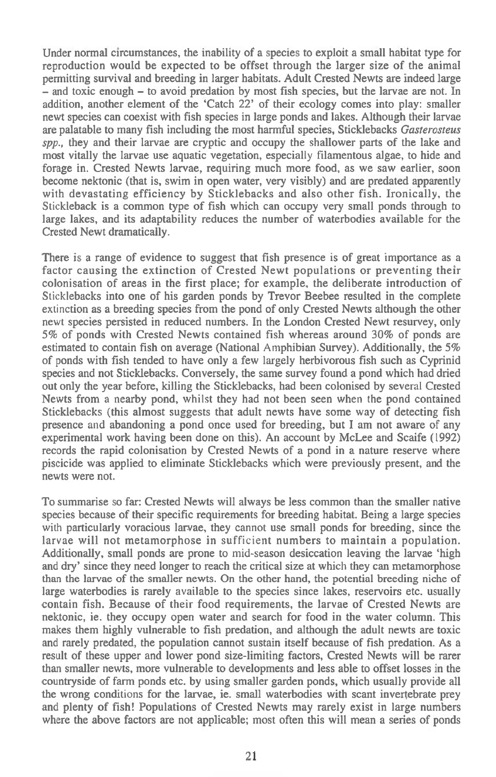Under normal circumstances, the inability of a species to exploit a small habitat type for reproduction would be expected to be offset through the larger size of the animal permitting survival and breeding in larger habitats. Adult Crested Newts are indeed large — and toxic enough — to avoid predation by most fish species, but the larvae are not. In addition, another element of the 'Catch 22' of their ecology comes into play: smaller newt species can coexist with fish species in large ponds and lakes. Although their larvae are palatable to many fish including the most harmful species, Sticklebacks *Gasterosteus spp.,* they and their larvae are cryptic and occupy the shallower parts of the lake and most vitally the larvae use aquatic vegetation, especially filamentous algae, to hide and forage in. Crested Newts larvae, requiring much more food, as we saw earlier, soon become nektonic (that is, swim in open water, very visibly) and are predated apparently with devastating efficiency by Sticklebacks and also other fish. Ironically, the Stickleback is a common type of fish which can occupy very small ponds through to large lakes, and its adaptability reduces the number of waterbodies available for the Crested Newt dramatically.

There is a range of evidence to suggest that fish presence is of great importance as a factor causing the extinction of Crested Newt populations or preventing their colonisation of areas in the first place; for example, the deliberate introduction of Sticklebacks into one of his garden ponds by Trevor Beebee resulted in the complete extinction as a breeding species from the pond of only Crested Newts although the other newt species persisted in reduced numbers. In the London Crested Newt resurvey, only 5% of ponds with Crested Newts contained fish whereas around 30% of ponds are estimated to contain fish on average (National Amphibian Survey). Additionally, the 5% of ponds with fish tended to have only a few largely herbivorous fish such as Cyprinid species and not Sticklebacks. Conversely, the same survey found a pond which had dried out only the year before, killing the Sticklebacks, had been colonised by several Crested Newts from a nearby pond, whilst they had not been seen when the pond contained Sticklebacks (this almost suggests that adult newts have some way of detecting fish presence and abandoning a pond once used for breeding, but I am not aware of any experimental work having been done on this). An account by McLee and Scaife (1992) records the rapid colonisation by Crested Newts of a pond in a nature reserve where piscicide was applied to eliminate Sticklebacks which were previously present, and the newts were not.

To summarise so far: Crested Newts will always be less common than the smaller native species because of their specific requirements for breeding habitat. Being a large species with particularly voracious larvae, they cannot use small ponds for breeding, since the larvae will not metamorphose in sufficient numbers to maintain a population. Additionally, small ponds are prone to mid-season desiccation leaving the larvae 'high and dry' since they need longer to reach the critical size at which they can metamorphose than the larvae of the smaller newts. On the other hand, the potential breeding niche of large waterbodies is rarely available to the species since lakes, reservoirs etc. usually contain fish. Because of their food requirements, the larvae of Crested Newts are nektonic, ie. they occupy open water and search for food in the water column. This makes them highly vulnerable to fish predation, and although the adult newts are toxic and rarely predated, the population cannot sustain itself because of fish predation. As a result of these upper and lower pond size-limiting factors, Crested Newts will be rarer than smaller newts, more vulnerable to developments and less able to offset losses in the countryside of farm ponds etc. by using smaller garden ponds, which usually provide all the wrong conditions for the larvae, ie. small waterbodies with scant invertebrate prey and plenty of fish! Populations of Crested Newts may rarely exist in large numbers where the above factors are not applicable; most often this will mean a series of ponds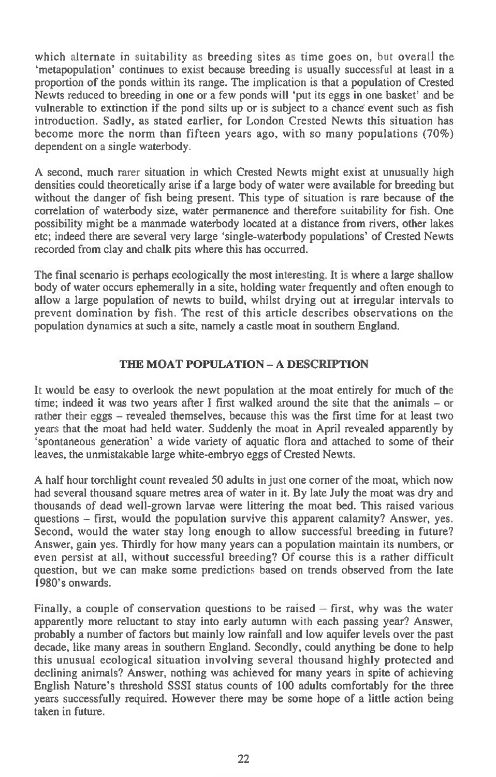which alternate in suitability as breeding sites as time goes on, but overall the `metapopulation' continues to exist because breeding is usually successful at least in a proportion of the ponds within its range. The implication is that a population of Crested Newts reduced to breeding in one or a few ponds will 'put its eggs in one basket' and be vulnerable to extinction if the pond silts up or is subject to a chance event such as fish introduction. Sadly, as stated earlier, for London Crested Newts this situation has become more the norm than fifteen years ago, with so many populations (70%) dependent on a single waterbody.

A second, much rarer situation in which Crested Newts might exist at unusually high densities could theoretically arise if a large body of water were available for breeding but without the danger of fish being present. This type of situation is rare because of the correlation of waterbody size, water permanence and therefore suitability for fish. One possibility might be a manmade waterbody located at a distance from rivers, other lakes etc; indeed there are several very large 'single-waterbody populations' of Crested Newts recorded from clay and chalk pits where this has occurred.

The final scenario is perhaps ecologically the most interesting. It is where a large shallow body of water occurs ephemerally in a site, holding water frequently and often enough to allow a large population of newts to build, whilst drying out at irregular intervals to prevent domination by fish. The rest of this article describes observations on the population dynamics at such a site, namely a castle moat in southern England.

### **THE MOAT POPULATION — A DESCRIPTION**

It would be easy to overlook the newt population at the moat entirely for much of the time; indeed it was two years after I first walked around the site that the animals — or rather their eggs — revealed themselves, because this was the first time for at least two years that the moat had held water. Suddenly the moat in April revealed apparently by `spontaneous generation' a wide variety of aquatic flora and attached to some of their leaves, the unmistakable large white-embryo eggs of Crested Newts.

A half hour torchlight count revealed 50 adults in just one corner of the moat, which now had several thousand square metres area of water in it. By late July the moat was dry and thousands of dead well-grown larvae were littering the moat bed. This raised various questions — first, would the population survive this apparent calamity? Answer, yes. Second, would the water stay long enough to allow successful breeding in future? Answer, gain yes. Thirdly for how many years can a population maintain its numbers, or even persist at all, without successful breeding? Of course this is a rather difficult question, but we can make some predictions based on trends observed from the late 1980's onwards.

Finally, a couple of conservation questions to be raised  $-$  first, why was the water apparently more reluctant to stay into early autumn with each passing year? Answer, probably a number of factors but mainly low rainfall and low aquifer levels over the past decade, like many areas in southern England. Secondly, could anything be done to help this unusual ecological situation involving several thousand highly protected and declining animals? Answer, nothing was achieved for many years in spite of achieving English Nature's threshold SSSI status counts of 100 adults comfortably for the three years successfully required. However there may be some hope of a little action being taken in future.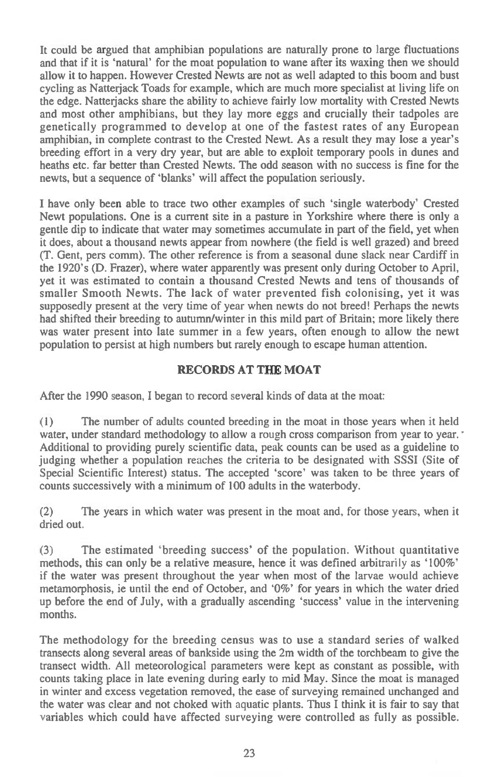It could be argued that amphibian populations are naturally prone to large fluctuations and that if it is `natural' for the moat population to wane after its waxing then we should allow it to happen. However Crested Newts are not as well adapted to this boom and bust cycling as Natterjack Toads for example, which are much more specialist at living life on the edge. Natterjacks share the ability to achieve fairly low mortality with Crested Newts and most other amphibians, but they lay more eggs and crucially their tadpoles are genetically programmed to develop at one of the fastest rates of any European amphibian, in complete contrast to the Crested Newt. As a result they may lose a year's breeding effort in a very dry year, but are able to exploit temporary pools in dunes and heaths etc. far better than Crested Newts. The odd season with no success is fine for the newts, but a sequence of 'blanks' will affect the population seriously.

I have only been able to trace two other examples of such `single waterbody' Crested Newt populations. One is a current site in a pasture in Yorkshire where there is only a gentle dip to indicate that water may sometimes accumulate in part of the field, yet when it does, about a thousand newts appear from nowhere (the field is well grazed) and breed (T. Gent, pers comm). The other reference is from a seasonal dune slack near Cardiff in the 1920's (D. Frazer), where water apparently was present only during October to April, yet it was estimated to contain a thousand Crested Newts and tens of thousands of smaller Smooth Newts. The lack of water prevented fish colonising, yet it was supposedly present at the very time of year when newts do not breed! Perhaps the newts had shifted their breeding to autumn/winter in this mild part of Britain; more likely there was water present into late summer in a few years, often enough to allow the newt population to persist at high numbers but rarely enough to escape human attention.

## **RECORDS AT THE MOAT**

After the 1990 season, I began to record several kinds of data at the moat:

(1) The number of adults counted breeding in the moat in those years when it held water, under standard methodology to allow a rough cross comparison from year to year. ' Additional to providing purely scientific data, peak counts can be used as a guideline to judging whether a population reaches the criteria to be designated with SSSI (Site of Special Scientific Interest) status. The accepted 'score' was taken to be three years of counts successively with a minimum of 100 adults in the waterbody.

(2) The years in which water was present in the moat and, for those years, when it dried out.

(3) The estimated `breeding success' of the population. Without quantitative methods, this can only be a relative measure, hence it was defined arbitrarily as `100%' if the water was present throughout the year when most of the larvae would achieve metamorphosis, ie until the end of October, and '0%' for years in which the water dried up before the end of July, with a gradually ascending 'success' value in the intervening months.

The methodology for the breeding census was to use a standard series of walked transects along several areas of bankside using the 2m width of the torchbeam to give the transect width. All meteorological parameters were kept as constant as possible, with counts taking place in late evening during early to mid May. Since the moat is managed in winter and excess vegetation removed, the ease of surveying remained unchanged and the water was clear and not choked with aquatic plants. Thus I think it is fair to say that variables which could have affected surveying were controlled as fully as possible.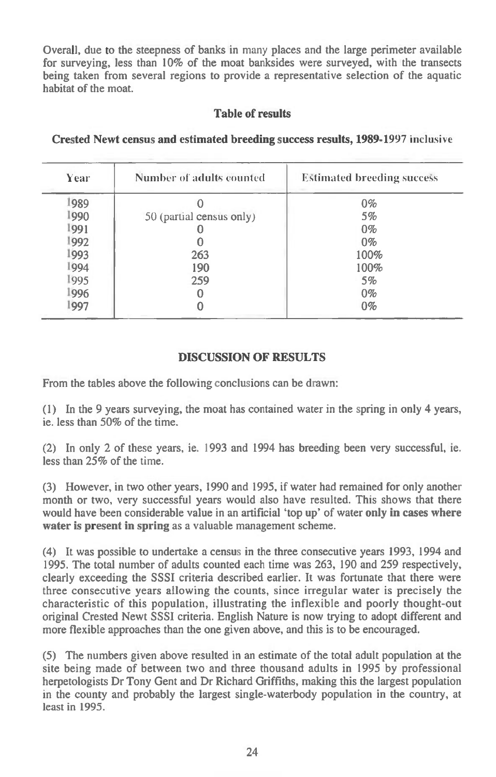Overall, due to the steepness of banks in many places and the large perimeter available for surveying, less than 10% of the moat banksides were surveyed, with the transects being taken from several regions to provide a representative selection of the aquatic habitat of the moat.

## **Table of results**

| Year | Number of adults counted | <b>Estimated breeding success</b> |
|------|--------------------------|-----------------------------------|
| 1989 |                          | $0\%$                             |
| 1990 | 50 (partial census only) | 5%                                |
| 991  |                          | $0\%$                             |
| 1992 |                          | $0\%$                             |
| 1993 | 263                      | 100%                              |
| 1994 | 190                      | 100%                              |
| 1995 | 259                      | 5%                                |
| 1996 |                          | $0\%$                             |
| 997  |                          | $0\%$                             |

## **Crested Newt census and estimated breeding success results, 1989-1997** inclusive

# **DISCUSSION OF RESULTS**

From the tables above the following conclusions can be drawn:

(1) In the 9 years surveying, the moat has contained water in the spring in only 4 years, ie. less than 50% of the time.

(2) In only 2 of these years, ie. 1993 and 1994 has breeding been very successful, ie. less than 25% of the time.

(3) However, in two other years, 1990 and 1995, if water had remained for only another month or two, very successful years would also have resulted. This shows that there would have been considerable value in an artificial 'top up' of water **only in cases where water is present in spring** as a valuable management scheme.

(4) It was possible to undertake a census in the three consecutive years 1993, 1994 and 1995. The total number of adults counted each time was 263, 190 and 259 respectively, clearly exceeding the SSSI criteria described earlier. It was fortunate that there were three consecutive years allowing the counts, since irregular water is precisely the characteristic of this population, illustrating the inflexible and poorly thought-out original Crested Newt SSSI criteria. English Nature is now trying to adopt different and more flexible approaches than the one given above, and this is to be encouraged.

(5) The numbers given above resulted in an estimate of the total adult population at the site being made of between two and three thousand adults in 1995 by professional herpetologists Dr Tony Gent and Dr Richard Griffiths, making this the largest population in the county and probably the largest single-waterbody population in the country, at least in 1995.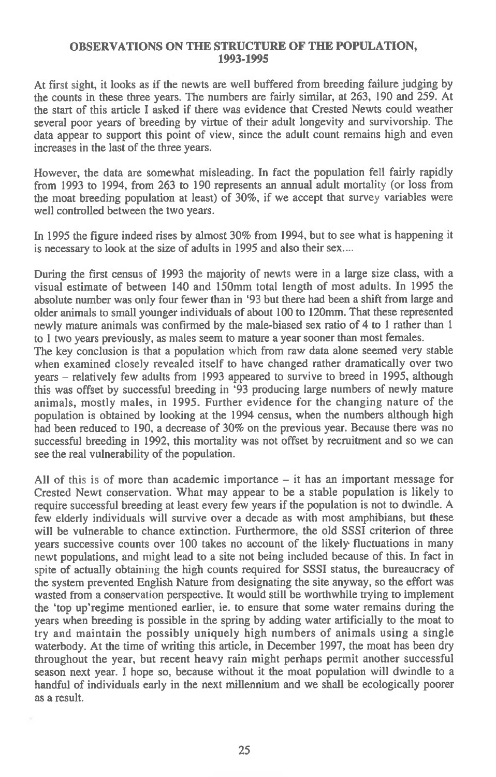#### **OBSERVATIONS ON THE STRUCTURE OF THE POPULATION, 1993-1995**

At first sight, it looks as if the newts are well buffered from breeding failure judging by the counts in these three years. The numbers are fairly similar, at 263, 190 and 259. At the start of this article I asked if there was evidence that Crested Newts could weather several poor years of breeding by virtue of their adult longevity and survivorship. The data appear to support this point of view, since the adult count remains high and even increases in the last of the three years.

However, the data are somewhat misleading. In fact the population fell fairly rapidly from 1993 to 1994, from 263 to 190 represents an annual adult mortality (or loss from the moat breeding population at least) of 30%, if we accept that survey variables were well controlled between the two years.

In 1995 the figure indeed rises by almost 30% from 1994, but to see what is happening it is necessary to look at the size of adults in 1995 and also their sex....

During the first census of 1993 the majority of newts were in a large size class, with a visual estimate of between 140 and 150mm total length of most adults. In 1995 the absolute number was only four fewer than in '93 but there had been a shift from large and older animals to small younger individuals of about 100 to 120mm. That these represented newly mature animals was confirmed by the male-biased sex ratio of 4 to 1 rather than 1 to 1 two years previously, as males seem to mature a year sooner than most females.

The key conclusion is that a population which from raw data alone seemed very stable when examined closely revealed itself to have changed rather dramatically over two years — relatively few adults from 1993 appeared to survive to breed in 1995, although this was offset by successful breeding in '93 producing large numbers of newly mature animals, mostly males, in 1995. Further evidence for the changing nature of the population is obtained by looking at the 1994 census, when the numbers although high had been reduced to 190, a decrease of 30% on the previous year. Because there was no successful breeding in 1992, this mortality was not offset by recruitment and so we can see the real vulnerability of the population.

All of this is of more than academic importance  $-$  it has an important message for Crested Newt conservation. What may appear to be a stable population is likely to require successful breeding at least every few years if the population is not to dwindle. A few elderly individuals will survive over a decade as with most amphibians, but these will be vulnerable to chance extinction. Furthermore, the old SSSI criterion of three years successive counts over 100 takes no account of the likely fluctuations in many newt populations, and might lead to a site not being included because of this. In fact in spite of actually obtaining the high counts required for SSSI status, the bureaucracy of the system prevented English Nature from designating the site anyway, so the effort was wasted from a conservation perspective. It would still be worthwhile trying to implement the 'top up'regime mentioned earlier, ie. to ensure that some water remains during the years when breeding is possible in the spring by adding water artificially to the moat to try and maintain the possibly uniquely high numbers of animals using a single waterbody. At the time of writing this article, in December 1997, the moat has been dry throughout the year, but recent heavy rain might perhaps permit another successful season next year. I hope so, because without it the moat population will dwindle to a handful of individuals early in the next millennium and we shall be ecologically poorer as a result.